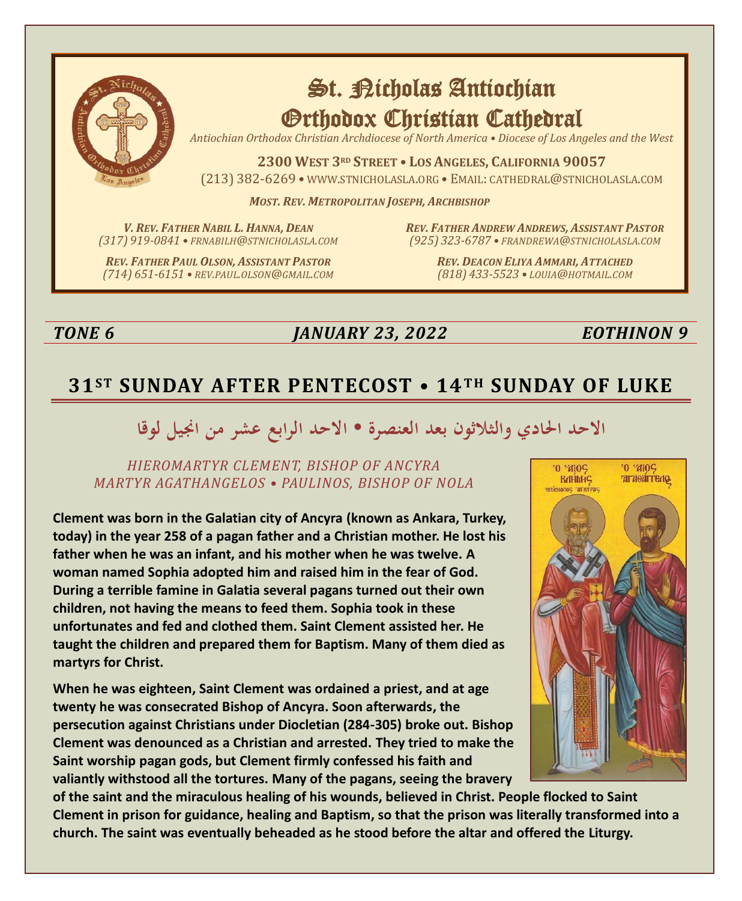

# St. Richolas Antiochian Orthodox Christian Cathedral

*Antiochian Orthodox Christian Archdiocese of North America • Diocese of Los Angeles and the West*

**2300 WEST 3RD STREET • LOS ANGELES, CALIFORNIA 90057** (213) 382-6269 • WWW.STNICHOLASLA.ORG • EMAIL: CATHEDRAL@STNICHOLASLA.COM

*MOST. REV. METROPOLITAN JOSEPH, ARCHBISHOP*

*V. REV. FATHER NABIL L. HANNA, DEAN (317) 919-0841 • FRNABILH@STNICHOLASLA.COM*

*REV. FATHER PAUL OLSON, ASSISTANT PASTOR (714) 651-6151 • REV.PAUL.OLSON@GMAIL.COM* *REV. FATHER ANDREW ANDREWS, ASSISTANT PASTOR (925) 323-6787 • FRANDREWA@STNICHOLASLA.COM*

> *REV. DEACON ELIYA AMMARI, ATTACHED (818) 433-5523 • LOUIA@HOTMAIL.COM*

## *TONE 6 JANUARY 23, 2022 EOTHINON 9*

# **31ST SUNDAY AFTER PENTECOST • 14T H SUNDAY OF LUKE**

# الاحد الحادي والثلاثون بعد العنصرة • الاحد الرابع عشر من انجيل لوقا

#### *HIEROMARTYR CLEMENT, BISHOP OF ANCYRA MARTYR AGATHANGELOS • PAULINOS, BISHOP OF NOLA*

**Clement was born in the Galatian city of Ancyra (known as Ankara, Turkey, today) in the year 258 of a pagan father and a Christian mother. He lost his father when he was an infant, and his mother when he was twelve. A woman named Sophia adopted him and raised him in the fear of God. During a terrible famine in Galatia several pagans turned out their own children, not having the means to feed them. Sophia took in these unfortunates and fed and clothed them. Saint Clement assisted her. He taught the children and prepared them for Baptism. Many of them died as martyrs for Christ.**

**When he was eighteen, Saint Clement was ordained a priest, and at age twenty he was consecrated Bishop of Ancyra. Soon afterwards, the persecution against Christians under Diocletian (284-305) broke out. Bishop Clement was denounced as a Christian and arrested. They tried to make the Saint worship pagan gods, but Clement firmly confessed his faith and valiantly withstood all the tortures. Many of the pagans, seeing the bravery** 



**of the saint and the miraculous healing of his wounds, believed in Christ. People flocked to Saint Clement in prison for guidance, healing and Baptism, so that the prison was literally transformed into a church. The saint was eventually beheaded as he stood before the altar and offered the Liturgy.**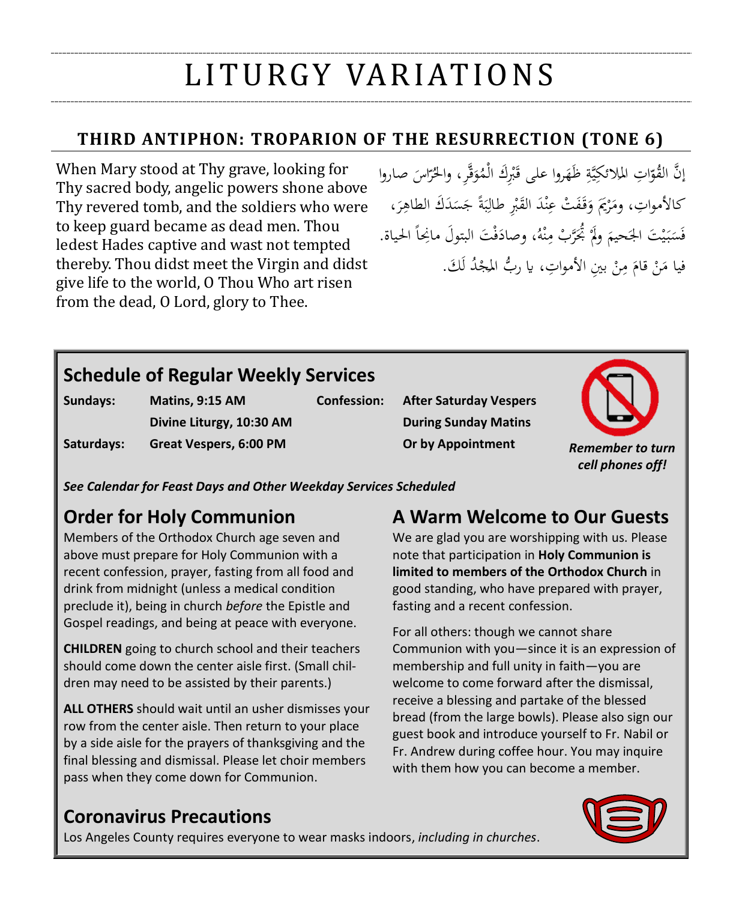# LI T U RGY VA R I AT I O N S

# **THIRD ANTIPHON: TROPARION OF THE RESURRECTION (TONE 6)**

When Mary stood at Thy grave, looking for Thy sacred body, angelic powers shone above Thy revered tomb, and the soldiers who were to keep guard became as dead men. Thou ledest Hades captive and wast not tempted thereby. Thou didst meet the Virgin and didst give life to the world, O Thou Who art risen from the dead, O Lord, glory to Thee.

إنَّ القُوَّاتِ الملائكِيَّةِ ظَهَروا على قَبْرِكَ الْمُؤَقَّرِ، والحُرَّاسَ صاروا َ į, ر َ <u>بة</u> يت<br>ي ا كالأمواتِ، ومَرْيَمَ وَقَفَتْ عِنْدَ الْقَبْرِ طَالِبَةً جَسَدَكَ الطاهِرَ، ر<br>ا ِ  $\ddot{\phantom{0}}$  $\ddot{\cdot}$ ب ِ ر ا<br>ا ن َ ر  $\overline{\phantom{a}}$ فَسَبَيْتَ الجَحيمَ ولَمْ بُحَرَّبْ مِنْهُ، وصادَفْتَ البتولَ مانِحاً الحياة. ە<br>م ِ ً<br>ٔ ر َ ي  $\ddot{\cdot}$  $\ddot{\phantom{0}}$ ر ٔ. فيا مَنْ قامَ مِنْ بينِ الأمواتِ، يا ربُّ المجْدُ لَكَ. لَ ر .<br>-ِم∕ َ .<br>- $\overline{\phantom{a}}$ 

# **Schedule of Regular Weekly Services**

| Sundays:   | Matins, 9:15 AM          |  |
|------------|--------------------------|--|
|            | Divine Liturgy, 10:30 AM |  |
| Saturdays: | Great Vespers, 6:00 PM   |  |

**Confession: After Saturday Vespers During Sunday Matins Or by Appointment** *Remember to turn* 



*See Calendar for Feast Days and Other Weekday Services Scheduled*

# **Order for Holy Communion**

Members of the Orthodox Church age seven and above must prepare for Holy Communion with a recent confession, prayer, fasting from all food and drink from midnight (unless a medical condition preclude it), being in church *before* the Epistle and Gospel readings, and being at peace with everyone.

**CHILDREN** going to church school and their teachers should come down the center aisle first. (Small children may need to be assisted by their parents.)

**ALL OTHERS** should wait until an usher dismisses your row from the center aisle. Then return to your place by a side aisle for the prayers of thanksgiving and the final blessing and dismissal. Please let choir members pass when they come down for Communion.

# **A Warm Welcome to Our Guests**

We are glad you are worshipping with us. Please note that participation in **Holy Communion is limited to members of the Orthodox Church** in good standing, who have prepared with prayer, fasting and a recent confession.

For all others: though we cannot share Communion with you—since it is an expression of membership and full unity in faith—you are welcome to come forward after the dismissal, receive a blessing and partake of the blessed bread (from the large bowls). Please also sign our guest book and introduce yourself to Fr. Nabil or Fr. Andrew during coffee hour. You may inquire with them how you can become a member.

# **Coronavirus Precautions**

Los Angeles County requires everyone to wear masks indoors, *including in churches*.

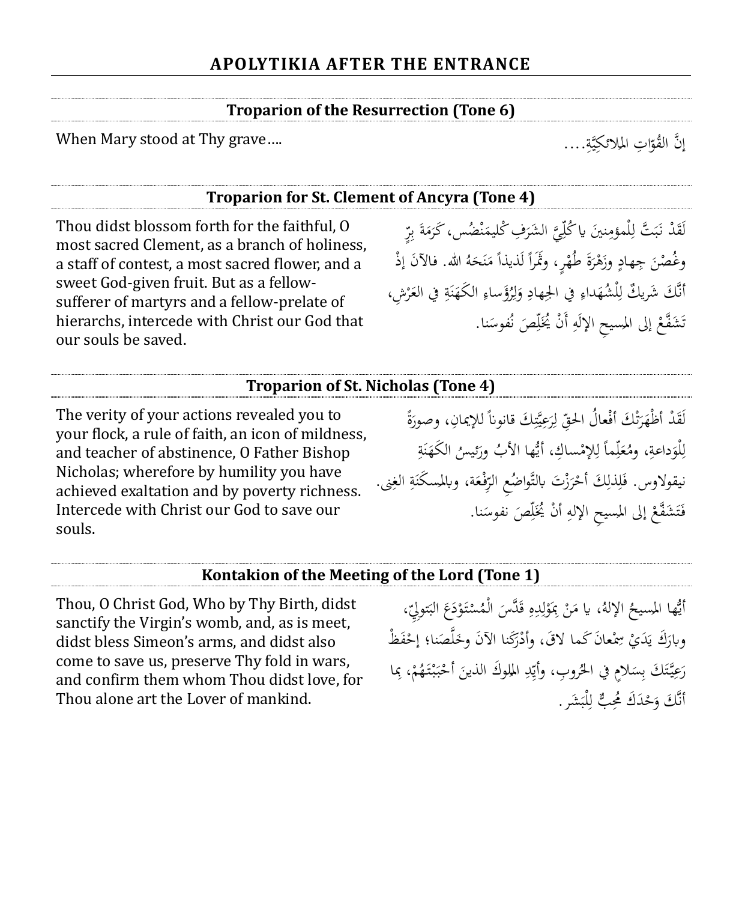#### **Troparion of the Resurrection (Tone 6)**

When Mary stood at Thy grave....

#### **Troparion for St. Clement of Ancyra (Tone 4)**

Thou didst blossom forth for the faithful, O most sacred Clement, as a branch of holiness, a staff of contest, a most sacred flower, and a sweet God-given fruit. But as a fellowsufferer of martyrs and a fellow-prelate of hierarchs, intercede with Christ our God that our souls be saved.

لَقَدْ نَبَتَّ لِلْمؤمِنينَ ياكُلِّيَّ الشَرَفِ كْليمَنْضُس، كَرَمَةَ بِرِّ  $\ddot{\cdot}$ ب .<br>. ر<br>ا ٳٚ ن ِ ن **ه** ب ï  $\ddot{\cdot}$ ُ<br>ر وغُصْنَ جِهادٍ وزَهْرَةَ طُهْرٍ، وثَمَرًا لَذيذاً مَنَحَهُ الله. فالآنَ إذْ  $\epsilon$ **ر**<br>ا ر  $\overline{a}$ َ ن  $\overline{\phantom{a}}$  $\overline{a}$ أَنَّكَ شَرِيكٌ لِلْشُهَداءِ في الجِهادِ وَلِرُؤَساءِ الكَهَنَةِ في العَرْشِ، ر َ  $\ddot{\phantom{0}}$ ن َ ِ ِ ل َ ِ ِ َ لر ِ ٳٚ تَشَفَّعْ إلى المسيحِ الإلَهِ أَنْ يُخَلِّصَ نُفوسَنا. ِ ر **ـ** 

#### **Troparion of St. Nicholas (Tone 4)**

The verity of your actions revealed you to your flock, a rule of faith, an icon of mildness, and teacher of abstinence, O Father Bishop Nicholas; wherefore by humility you have achieved exaltation and by poverty richness. Intercede with Christ our God to save our souls.

ة<br>أ لَقَدْ أَظْهَرَتْكَ أَفْعالُ الحقِّ لِرَعِيَّتِكَ قانوناً للإيمانِ، وصورَةً َ ِ ي .<br>ر ؚ<br>إ ل ِ ت ر<br>ا َ <u>بة</u> لْوَداعةِ، ومُعَلِّماً لِلإِمْساكِ، أَيُّها الأَبُ ورَئيسُ الكَهَنَةِ<br>. .<br>ا ن َ َ ِ ٳٚ َ **تة** َ ِ ل نيقولاوس. فَلِذَلِكَ أَحْرَزْتَ بالتَّواضُعِ الرِّفْعَة، وبالمسكَنَةِ الغِنى. َ ِ ر<br>. ر ِ ِ َ ِ ٍ<br>نه  $\ddot{\phantom{0}}$ ن فَتَشَفَّعْ إلى المسيحِ الإلهِ أَنْ يُخَلِّصَ نفوسَنا. ٠ ٳٚ أ ِ ر ت َ

#### **Kontakion of the Meeting of the Lord (Tone 1)**

Thou, O Christ God, Who by Thy Birth, didst sanctify the Virgin's womb, and, as is meet, didst bless Simeon's arms, and didst also come to save us, preserve Thy fold in wars, and confirm them whom Thou didst love, for Thou alone art the Lover of mankind.

أَيُّها المسيحُ الإلهُ، يا مَنْ بِمَوْلِدِهِ قَدَّسَ الْمُسْتَوْدَعَ البَتولِيِّ، ؘ َ ر ر <u>َ</u> َ ِ ِ ل ر ِ .<br>.<br>.  $\overline{\phantom{a}}$ وبارَكَ يَدَيْ سِمْعانَ كَما لاقَ، وأدْرَكَنا الآنَ وخَلَّصَنا؛ إِحْفَظْ َ ر<br>ا ر يا<br>. َ ر  $\ddot{\phantom{0}}$ رَعِيَّتَكَ بِسَلامٍ في الحُروبِ، وأَيِّدِ الملوكَ الذينَ أَحْبَبْتَهُمْ، بِما ِ ر ر  $\ddot{\cdot}$ ر <u>:</u>  $\ddot{\phantom{0}}$ ً<br>ز أَنَّكَ وَحْدَكَ مُحِبٌّ لِلْبَشَرِ. ِ ر

َّة ي الئكِ ِت امل ا ّ ُو إ َّن الق ....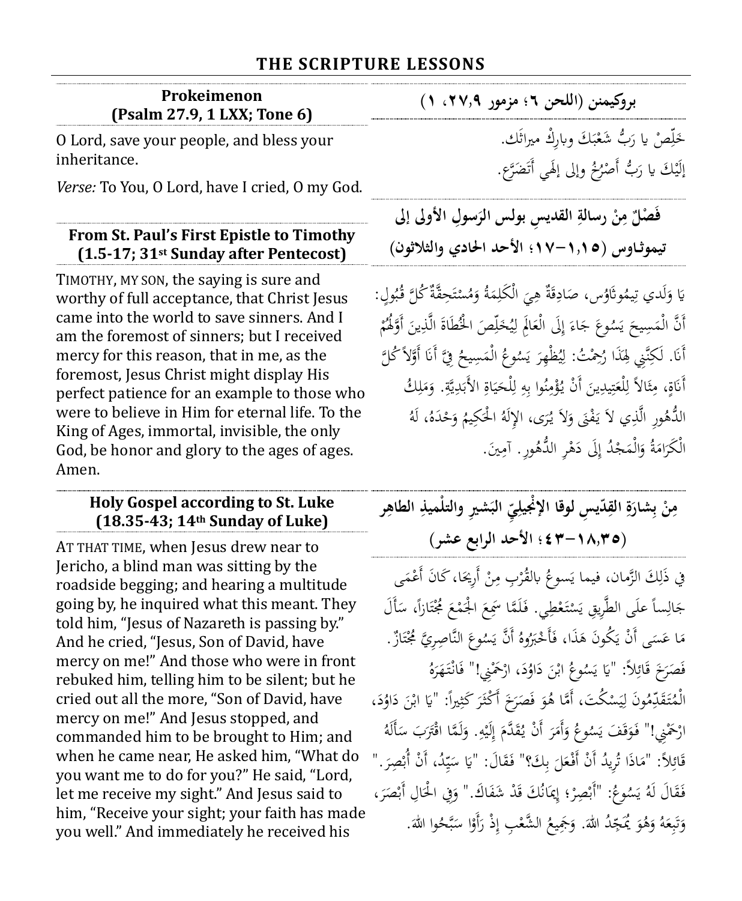#### **THE SCRIPTURE LESSONS**

| Prokeimenon                 |
|-----------------------------|
| (Psalm 27.9, 1 LXX; Tone 6) |

O Lord, save your people, and bless your inheritance.

*Verse:* To You, O Lord, have I cried, O my God.

#### **From St. Paul's First Epistle to Timothy (1.5-17; 31st Sunday after Pentecost)**

TIMOTHY, MY SON, the saying is sure and worthy of full acceptance, that Christ Jesus came into the world to save sinners. And I am the foremost of sinners; but I received mercy for this reason, that in me, as the foremost, Jesus Christ might display His perfect patience for an example to those who were to believe in Him for eternal life. To the King of Ages, immortal, invisible, the only God, be honor and glory to the ages of ages. Amen.

#### **Holy Gospel according to St. Luke (18.35-43; 14th Sunday of Luke)**

AT THAT TIME, when Jesus drew near to Jericho, a blind man was sitting by the roadside begging; and hearing a multitude going by, he inquired what this meant. They told him, "Jesus of Nazareth is passing by." And he cried, "Jesus, Son of David, have mercy on me!" And those who were in front rebuked him, telling him to be silent; but he cried out all the more, "Son of David, have mercy on me!" And Jesus stopped, and commanded him to be brought to Him; and when he came near, He asked him, "What do you want me to do for you?" He said, "Lord, let me receive my sight." And Jesus said to him, "Receive your sight; your faith has made you well." And immediately he received his

**بروكيمننا )اللحنا6؛امزمورا،27.9ا1(ا** رص لّ ب َ َ خ اي ُّ َ َك ر وابِر مرياثَك. رك َشع ٳٌ ب ر إِلَيْكَ يا رَبُّ أَصْرُخُ وإلى إلْهِي أَتَضَرَّع.

َ

**القدي ِس بولس رسالة ن م ٌ ْصل َسوِل فَ الر األوىلاإىلاا ِ ْ ِ تيموثــاوس )ا-1.15ا17؛ااألحدااحلادي واالثالثوانا(ا**

يَا وَلَدي تِيمُوثَاوُس، صَادِقَةٌ هِيَ الْكَلِمَةُ وَمُسْتَحِقَّةٌ كُلَّ قُبُولٍ:<br>. ب ة<br>أ ت ر َ **ه** ا ِ<br>: ِ ِ  $\overline{a}$ ڹ َ .<br>ا ر أَنَّ الْمَسِيحَ يَسُوعَ جَاءَ إِلَى الْعَالَمِ لِيُخَلِّصَ الْخُطَاةَ الَّذِينَ أَوَّلُمُمْ<br>ِ  $\ddot{\phantom{0}}$ ٳٚ َ ي ِلُّ ل َ ِ إ </sub> .<br>. ي  $\zeta$ **ه** أَنَا. لَكِنَّنِي لِهَذَا رُحِمْتُ: لِيُظْهِرَ يَسُوعُ الْمَسِيحُ فِيَّ أَنَا أَوَّلاً كُلَّ<br>م ً ِ نا<br>ا **ه** ي ر<br>. ي ؚ<br>ڸ أَنَاةٍ، مِثَالاً لِلْعَتِيدِينَ أَنْ يُؤْمِنُوا بِهِ لِلْحَيَاةِ الأَبَدِيَّةِ. وَمَلِكُ ِ  $\overline{\phantom{a}}$ َ ٍ<br>نه يد<br>يا ب<br>.  $\ddot{\circ}$  $\ddot{\phantom{0}}$ ي َ ِ ل ⊿<br>≀ ِ ن ∕' ر <u>:</u> ; ت َ ِ ئے<br>ن ث ∕'  $\ddot{\tilde{c}}$ نا<br>ا الدُّهُورِ الَّذِي لاَ يَفْنَى وَلاَ يُرَى، الإِلَهُ الْحَكِيمُ وَحْدَهُ، لَهُ<br>م َ ر َ َ ب<br>: ر الْكَرَامَةُ وَالْمَجْدُ إِلَى دَهْرِ الدُّهُورِ . آمِينَ. َ  $\overline{\phantom{a}}$ ر<br>ا ِم∕ ر ِ إ

| مِنْ بِشارَةِ القِدّيسِ لوقا الإنْجيلِيِّ البَشيرِ والتلْميذِ الطاهِر |  |                                |  |
|-----------------------------------------------------------------------|--|--------------------------------|--|
|                                                                       |  | (١٨,٣٥-٤٢٣ ؛ الأحد الرابع عشر) |  |

في ذَلِكَ الزَّمان، فيما يَسوعُ بالقُرْبِ مِنْ أَرِيحَا، كَانَ أَعْمَى<br>. ِ َ .<br>-ِم∕ ر جَالِساً علَى الطَّرِيقِ يَسْتَعْطِي. فَلَمَّا سَمِعَ الْجَمْعَ مُجْتَازاً، سَأَلَ .<br>-.<br>أ ت  $\zeta$ م<br>. .<br>.  $\zeta$ َ **ئ**ر ر ِ .<br>. مَا عَسَى أَنْ يَكُونَ هَذَا، فَأَخْبَرُوهُ أَنَّ يَسُوعَ النَّاصِرِيَّ مُجْتَازٌ. .<br>أ ت َ **م** يا<br>.  $\ddot{\phantom{0}}$  $\overline{\phantom{a}}$ <u>:</u> فَصَرَخَ قَائِلاً: "يَا يَسُوعُ ابْنَ دَاوُدَ، ارْحَمْنِي!" فَانْتَهَرَهُ<br>. <u>:</u> ي يا<br>-َ  $\overline{\phantom{0}}$ **ئ**ر .<br>.<br>. َ <u>َ</u> َ ر<br>. الْمُتَقَدِّمُونَ لِيَسْكُتَ، أَمَّا هُوَ فَصَرَخَ أَكْثَرَ كَثِيراً: "يَا ابْنَ دَاوُدَ، ٔ : ٔ.  $\ddot{\phantom{0}}$ يا<br>-<u>بر</u> ر<br>ا  $\overline{\phantom{0}}$ َ ر ي ؚ<br>ۣ **ئ**ر ارْحَمْنِي!" فَوَقَفَ يَسُوعُ وَأَمَرَ أَنْ يُقَدَّمَ إِلَيْهِ. وَلَمَّا اقْتَرَبَ سَأَلَهُ **ـ** َ ِ<br>ا ر ٍ<br>ٍ∫ إ َ Ä ر<br>ا َ َ َ  $\overline{\phantom{0}}$ قَائِلاً: "مَاذَا تُرِيدُ أَنْ أَفْعَلَ بِكَ؟" فَقَالَ: "يَا سَيِّدُ، أَنْ أُبْصِرَ." َ َ ر<br>ا ر ِ ي **ـ** .<br>م ِ ب فَقَالَ لَهُ يَسُوعُ: "أَبْصِرْ؛ إِيمَانُكَ قَدْ شَفَاكَ." وَفِي الْحَالِ أَبْصَرَ، .<br>. َ .<br>م ً<br>ا ٍ।<br>} ر ر ي Ä ر<br>ا  $\ddot{\phantom{0}}$ َ وَتَبِعَهُ وَهُوَ يُمَجِّدُ اللهَ. وَجَمِيعُ الشَّعْبِ إِذْ رَأَوْا سَبَّحُوا اللهَ. بر<br>م **ـ** ر ر<br>ا ِ ر َ َ َ َ َ ِ ب ِّ ت َ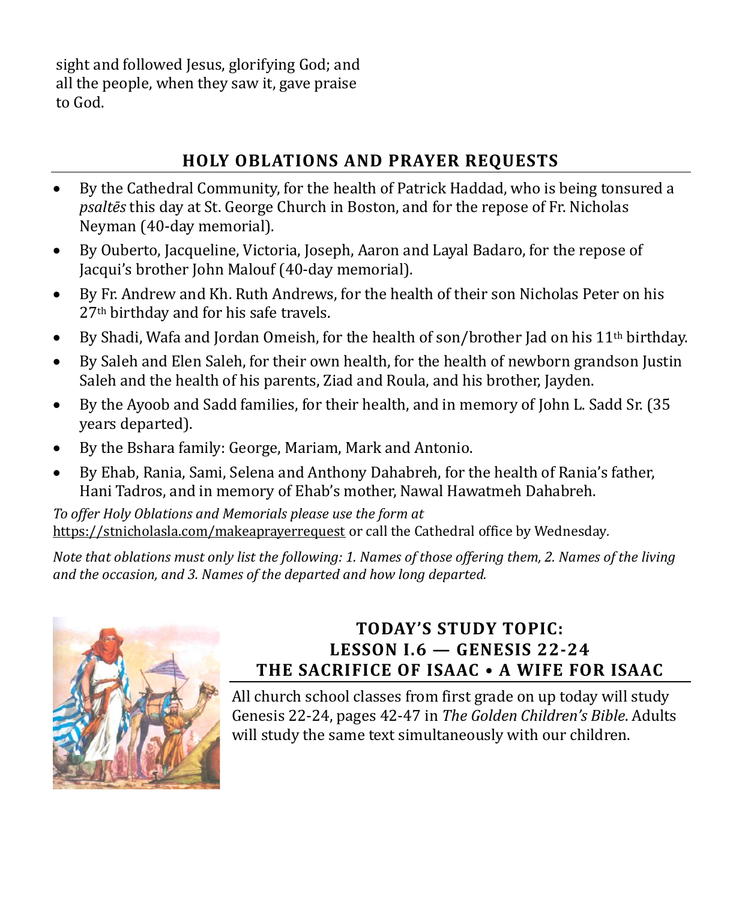sight and followed Jesus, glorifying God; and all the people, when they saw it, gave praise to God.

# **HOLY OBLATIONS AND PRAYER REQUESTS**

- By the Cathedral Community, for the health of Patrick Haddad, who is being tonsured a *psaltēs* this day at St. George Church in Boston, and for the repose of Fr. Nicholas Neyman (40-day memorial).
- By Ouberto, Jacqueline, Victoria, Joseph, Aaron and Layal Badaro, for the repose of Jacqui's brother John Malouf (40-day memorial).
- By Fr. Andrew and Kh. Ruth Andrews, for the health of their son Nicholas Peter on his 27th birthday and for his safe travels.
- By Shadi, Wafa and Jordan Omeish, for the health of son/brother Jad on his 11<sup>th</sup> birthday.
- By Saleh and Elen Saleh, for their own health, for the health of newborn grandson Justin Saleh and the health of his parents, Ziad and Roula, and his brother, Jayden.
- By the Ayoob and Sadd families, for their health, and in memory of John L. Sadd Sr. (35 years departed).
- By the Bshara family: George, Mariam, Mark and Antonio.
- By Ehab, Rania, Sami, Selena and Anthony Dahabreh, for the health of Rania's father, Hani Tadros, and in memory of Ehab's mother, Nawal Hawatmeh Dahabreh.

*To offer Holy Oblations and Memorials please use the form at*  <https://stnicholasla.com/makeaprayerrequest> or call the Cathedral office by Wednesday*.* 

*Note that oblations must only list the following: 1. Names of those offering them, 2. Names of the living and the occasion, and 3. Names of the departed and how long departed.*



### **TODAY'S STUDY TOPIC: LESSON I.6 — GENESIS 22-24 THE SACRIFICE OF ISAAC • A WIFE FOR ISAAC**

All church school classes from first grade on up today will study Genesis 22-24, pages 42-47 in *The Golden Children's Bible*. Adults will study the same text simultaneously with our children.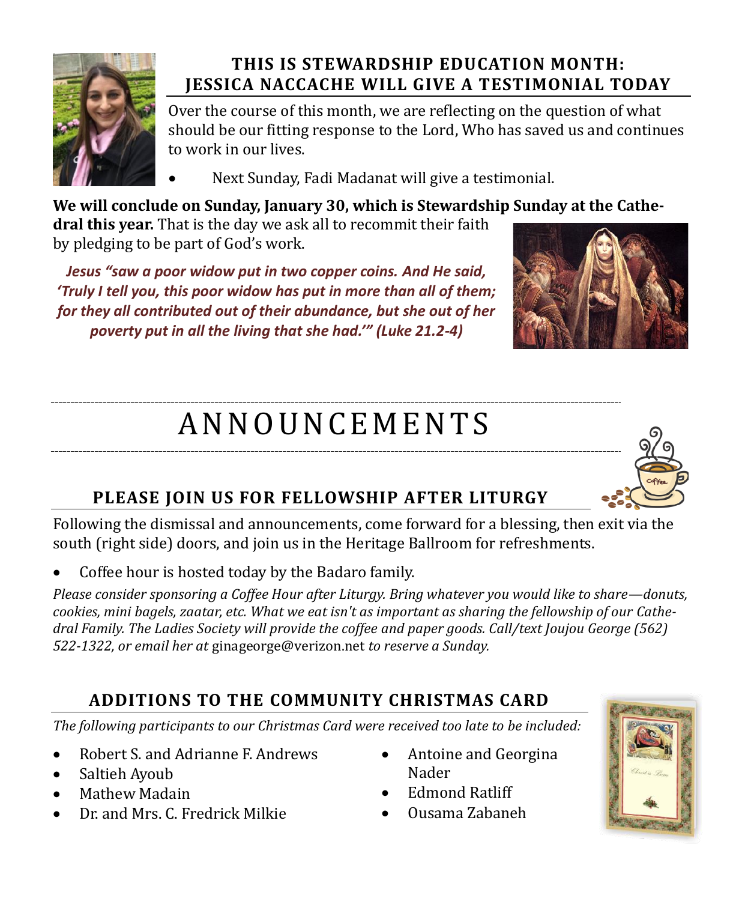

# **THIS IS STEWARDSHIP EDUCATION MONTH: JESSICA NACCACHE WILL GIVE A TESTIMONIAL TODAY**

Over the course of this month, we are reflecting on the question of what should be our fitting response to the Lord, Who has saved us and continues to work in our lives.

• Next Sunday, Fadi Madanat will give a testimonial.

**We will conclude on Sunday, January 30, which is Stewardship Sunday at the Cathe-**

**dral this year.** That is the day we ask all to recommit their faith by pledging to be part of God's work.

*Jesus "saw a poor widow put in two copper coins. And He said, 'Truly I tell you, this poor widow has put in more than all of them; for they all contributed out of their abundance, but she out of her poverty put in all the living that she had.'" (Luke 21.2-4)*



# A N N O U N CE M E N T S

# **PLEASE JOIN US FOR FELLOWSHIP AFTER LITURGY**

Following the dismissal and announcements, come forward for a blessing, then exit via the south (right side) doors, and join us in the Heritage Ballroom for refreshments.

• Coffee hour is hosted today by the Badaro family.

*Please consider sponsoring a Coffee Hour after Liturgy. Bring whatever you would like to share—donuts, cookies, mini bagels, zaatar, etc. What we eat isn't as important as sharing the fellowship of our Cathedral Family. The Ladies Society will provide the coffee and paper goods. Call/text Joujou George (562) 522-1322, or email her at* [ginageorge@verizon.net](mailto:ginageorge@verizon.net) *to reserve a Sunday.*

# **ADDITIONS TO THE COMMUNITY CHRISTMAS CARD**

*The following participants to our Christmas Card were received too late to be included:*

- Robert S. and Adrianne F. Andrews
- Saltieh Ayoub
- Mathew Madain
- Dr. and Mrs. C. Fredrick Milkie
- Antoine and Georgina Nader
- Edmond Ratliff
- Ousama Zabaneh

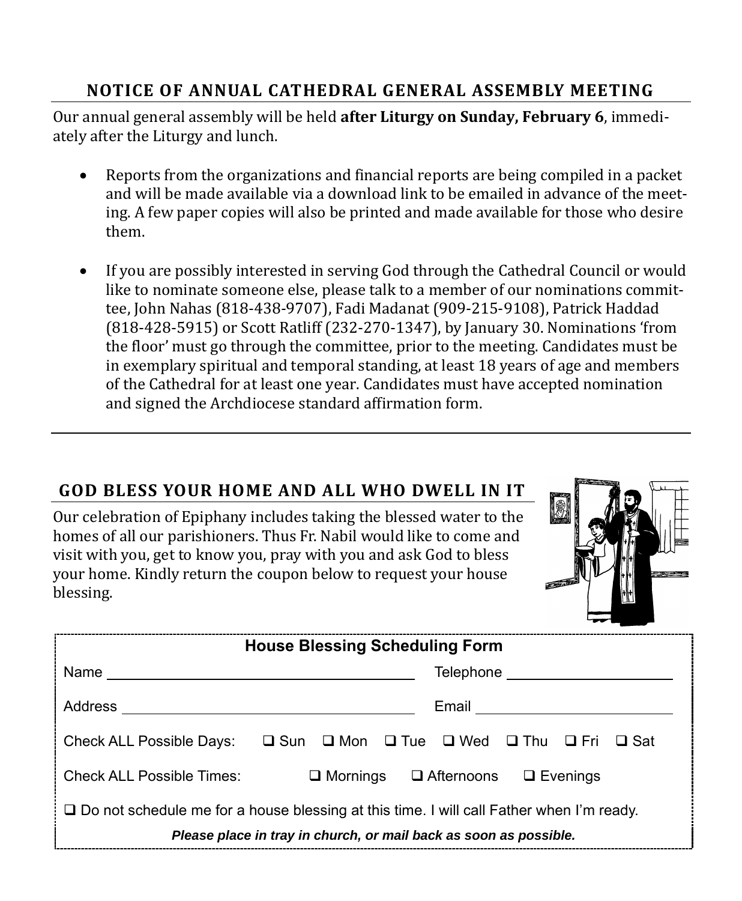## **NOTICE OF ANNUAL CATHEDRAL GENERAL ASSEMBLY MEETING**

Our annual general assembly will be held **after Liturgy on Sunday, February 6**, immediately after the Liturgy and lunch.

- Reports from the organizations and financial reports are being compiled in a packet and will be made available via a download link to be emailed in advance of the meeting. A few paper copies will also be printed and made available for those who desire them.
- If you are possibly interested in serving God through the Cathedral Council or would like to nominate someone else, please talk to a member of our nominations committee, John Nahas (818-438-9707), Fadi Madanat (909-215-9108), Patrick Haddad (818-428-5915) or Scott Ratliff (232-270-1347), by January 30. Nominations 'from the floor' must go through the committee, prior to the meeting. Candidates must be in exemplary spiritual and temporal standing, at least 18 years of age and members of the Cathedral for at least one year. Candidates must have accepted nomination and signed the Archdiocese standard affirmation form.

## **GOD BLESS YOUR HOME AND ALL WHO DWELL IN IT**

Our celebration of Epiphany includes taking the blessed water to the homes of all our parishioners. Thus Fr. Nabil would like to come and visit with you, get to know you, pray with you and ask God to bless your home. Kindly return the coupon below to request your house blessing.



|                                                                                            | <b>House Blessing Scheduling Form</b>                                       |  |
|--------------------------------------------------------------------------------------------|-----------------------------------------------------------------------------|--|
|                                                                                            | Telephone ________________________                                          |  |
|                                                                                            | Email ____________________________                                          |  |
|                                                                                            | Check ALL Possible Days: □ Sun □ Mon □ Tue □ Wed □ Thu □ Fri □ Sat          |  |
|                                                                                            | Check ALL Possible Times: $\Box$ Mornings $\Box$ Afternoons $\Box$ Evenings |  |
| □ Do not schedule me for a house blessing at this time. I will call Father when I'm ready. |                                                                             |  |
|                                                                                            | Please place in tray in church, or mail back as soon as possible.           |  |